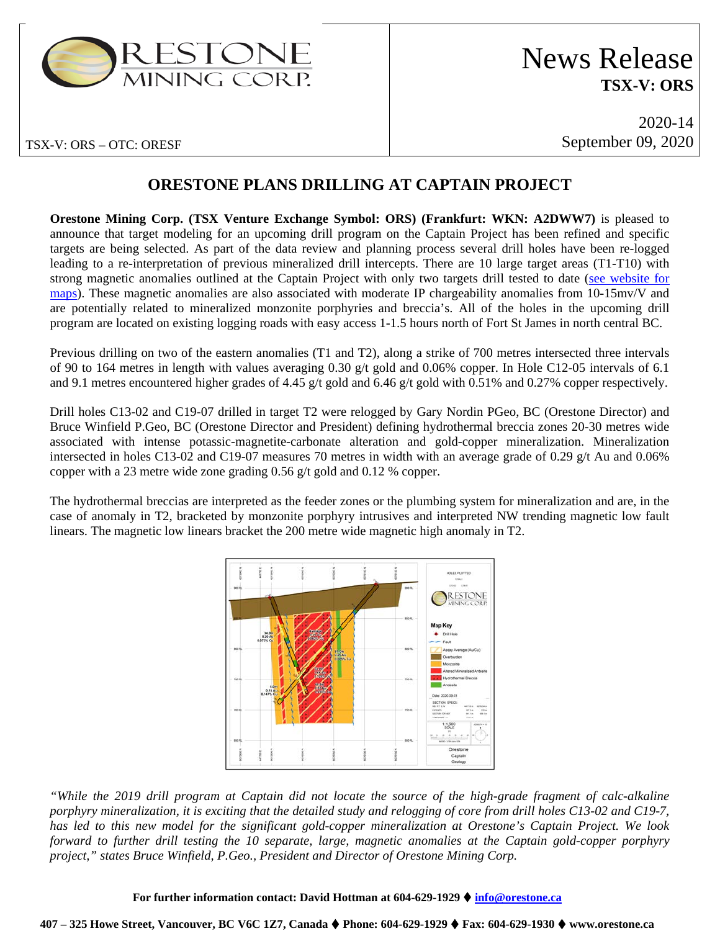

# News Release **TSX-V: ORS**

2020-14 September 09, 2020

# **ORESTONE PLANS DRILLING AT CAPTAIN PROJECT**

**Orestone Mining Corp. (TSX Venture Exchange Symbol: ORS) (Frankfurt: WKN: A2DWW7)** is pleased to announce that target modeling for an upcoming drill program on the Captain Project has been refined and specific targets are being selected. As part of the data review and planning process several drill holes have been re-logged leading to a re-interpretation of previous mineralized drill intercepts. There are 10 large target areas (T1-T10) with strong magnetic anomalies outlined at the Captain Project with only two targets drill tested to date [\(see website for](https://www.orestone.ca/projects/captain-property/)  [maps\)](https://www.orestone.ca/projects/captain-property/). These magnetic anomalies are also associated with moderate IP chargeability anomalies from 10-15mv/V and are potentially related to mineralized monzonite porphyries and breccia's. All of the holes in the upcoming drill program are located on existing logging roads with easy access 1-1.5 hours north of Fort St James in north central BC.

Previous drilling on two of the eastern anomalies (T1 and T2), along a strike of 700 metres intersected three intervals of 90 to 164 metres in length with values averaging 0.30 g/t gold and 0.06% copper. In Hole C12-05 intervals of 6.1 and 9.1 metres encountered higher grades of 4.45 g/t gold and 6.46 g/t gold with 0.51% and 0.27% copper respectively.

Drill holes C13-02 and C19-07 drilled in target T2 were relogged by Gary Nordin PGeo, BC (Orestone Director) and Bruce Winfield P.Geo, BC (Orestone Director and President) defining hydrothermal breccia zones 20-30 metres wide associated with intense potassic-magnetite-carbonate alteration and gold-copper mineralization. Mineralization intersected in holes C13-02 and C19-07 measures 70 metres in width with an average grade of 0.29 g/t Au and 0.06% copper with a 23 metre wide zone grading 0.56 g/t gold and 0.12 % copper.

The hydrothermal breccias are interpreted as the feeder zones or the plumbing system for mineralization and are, in the case of anomaly in T2, bracketed by monzonite porphyry intrusives and interpreted NW trending magnetic low fault linears. The magnetic low linears bracket the 200 metre wide magnetic high anomaly in T2.



*"While the 2019 drill program at Captain did not locate the source of the high-grade fragment of calc-alkaline porphyry mineralization, it is exciting that the detailed study and relogging of core from drill holes C13-02 and C19-7, has led to this new model for the significant gold-copper mineralization at Orestone's Captain Project. We look forward to further drill testing the 10 separate, large, magnetic anomalies at the Captain gold-copper porphyry project," states Bruce Winfield, P.Geo., President and Director of Orestone Mining Corp.*

#### **For further information contact: David Hottman at 604-629-1929 [info@orestone.ca](mailto:info@orestone.ca)**